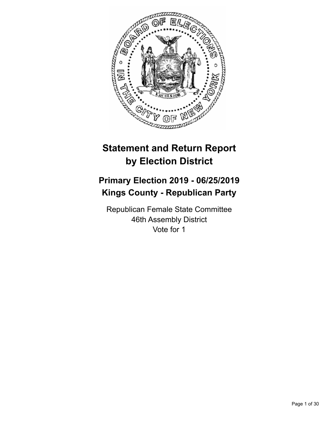

# **Statement and Return Report by Election District**

# **Primary Election 2019 - 06/25/2019 Kings County - Republican Party**

Republican Female State Committee 46th Assembly District Vote for 1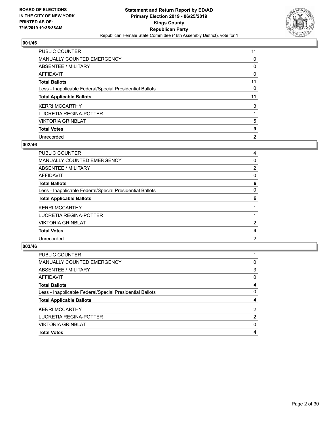

| <b>PUBLIC COUNTER</b>                                    | 11             |
|----------------------------------------------------------|----------------|
| <b>MANUALLY COUNTED EMERGENCY</b>                        | 0              |
| ABSENTEE / MILITARY                                      | 0              |
| AFFIDAVIT                                                | 0              |
| <b>Total Ballots</b>                                     | 11             |
| Less - Inapplicable Federal/Special Presidential Ballots | 0              |
| <b>Total Applicable Ballots</b>                          | 11             |
| <b>KERRI MCCARTHY</b>                                    | 3              |
| LUCRETIA REGINA-POTTER                                   |                |
| <b>VIKTORIA GRINBLAT</b>                                 | 5              |
| <b>Total Votes</b>                                       | 9              |
| Unrecorded                                               | $\overline{2}$ |

#### **002/46**

| <b>PUBLIC COUNTER</b>                                    | 4 |
|----------------------------------------------------------|---|
| <b>MANUALLY COUNTED EMERGENCY</b>                        | 0 |
| <b>ABSENTEE / MILITARY</b>                               | 2 |
| AFFIDAVIT                                                | 0 |
| <b>Total Ballots</b>                                     | 6 |
| Less - Inapplicable Federal/Special Presidential Ballots | 0 |
| <b>Total Applicable Ballots</b>                          | 6 |
| <b>KERRI MCCARTHY</b>                                    |   |
| LUCRETIA REGINA-POTTER                                   |   |
| <b>VIKTORIA GRINBLAT</b>                                 | 2 |
| <b>Total Votes</b>                                       | 4 |
| Unrecorded                                               | 2 |
|                                                          |   |

| 0              |
|----------------|
| 3              |
| $\Omega$       |
| 4              |
| 0              |
| 4              |
| $\overline{2}$ |
| 2              |
| $\Omega$       |
| 4              |
|                |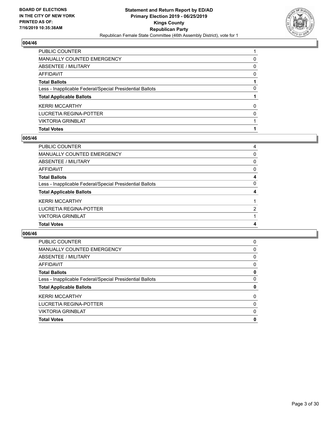

| <b>PUBLIC COUNTER</b>                                    |          |
|----------------------------------------------------------|----------|
| <b>MANUALLY COUNTED EMERGENCY</b>                        | 0        |
| ABSENTEE / MILITARY                                      | $\Omega$ |
| <b>AFFIDAVIT</b>                                         | 0        |
| <b>Total Ballots</b>                                     |          |
| Less - Inapplicable Federal/Special Presidential Ballots | 0        |
| <b>Total Applicable Ballots</b>                          |          |
| <b>KERRI MCCARTHY</b>                                    | 0        |
| LUCRETIA REGINA-POTTER                                   | 0        |
| <b>VIKTORIA GRINBLAT</b>                                 |          |
| <b>Total Votes</b>                                       |          |

## **005/46**

| PUBLIC COUNTER                                           | 4 |
|----------------------------------------------------------|---|
| <b>MANUALLY COUNTED EMERGENCY</b>                        | 0 |
| ABSENTEE / MILITARY                                      | 0 |
| <b>AFFIDAVIT</b>                                         | 0 |
| <b>Total Ballots</b>                                     | 4 |
| Less - Inapplicable Federal/Special Presidential Ballots | 0 |
| <b>Total Applicable Ballots</b>                          | 4 |
| <b>KERRI MCCARTHY</b>                                    |   |
| LUCRETIA REGINA-POTTER                                   | 2 |
| <b>VIKTORIA GRINBLAT</b>                                 |   |
| <b>Total Votes</b>                                       | 4 |

| <b>PUBLIC COUNTER</b>                                    | 0        |
|----------------------------------------------------------|----------|
| <b>MANUALLY COUNTED EMERGENCY</b>                        | 0        |
| ABSENTEE / MILITARY                                      | 0        |
| AFFIDAVIT                                                | 0        |
| <b>Total Ballots</b>                                     | 0        |
| Less - Inapplicable Federal/Special Presidential Ballots | 0        |
| <b>Total Applicable Ballots</b>                          | 0        |
| <b>KERRI MCCARTHY</b>                                    | $\Omega$ |
| LUCRETIA REGINA-POTTER                                   | 0        |
| <b>VIKTORIA GRINBLAT</b>                                 | 0        |
| <b>Total Votes</b>                                       | 0        |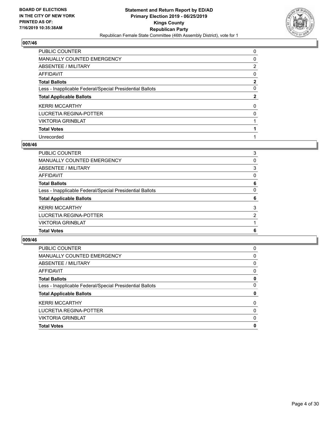

| <b>PUBLIC COUNTER</b>                                    | 0            |
|----------------------------------------------------------|--------------|
| <b>MANUALLY COUNTED EMERGENCY</b>                        | 0            |
| ABSENTEE / MILITARY                                      | 2            |
| AFFIDAVIT                                                | 0            |
| <b>Total Ballots</b>                                     | 2            |
| Less - Inapplicable Federal/Special Presidential Ballots | 0            |
| <b>Total Applicable Ballots</b>                          | $\mathbf{2}$ |
| <b>KERRI MCCARTHY</b>                                    | $\Omega$     |
| LUCRETIA REGINA-POTTER                                   | 0            |
| <b>VIKTORIA GRINBLAT</b>                                 |              |
| <b>Total Votes</b>                                       |              |
| Unrecorded                                               |              |

#### **008/46**

| PUBLIC COUNTER                                           | 3        |
|----------------------------------------------------------|----------|
| <b>MANUALLY COUNTED EMERGENCY</b>                        | 0        |
| ABSENTEE / MILITARY                                      | 3        |
| <b>AFFIDAVIT</b>                                         | $\Omega$ |
| <b>Total Ballots</b>                                     | 6        |
| Less - Inapplicable Federal/Special Presidential Ballots | $\Omega$ |
| <b>Total Applicable Ballots</b>                          | 6        |
| <b>KERRI MCCARTHY</b>                                    | 3        |
| LUCRETIA REGINA-POTTER                                   | 2        |
| <b>VIKTORIA GRINBLAT</b>                                 |          |
| <b>Total Votes</b>                                       | 6        |
|                                                          |          |

| <b>PUBLIC COUNTER</b>                                    | 0        |
|----------------------------------------------------------|----------|
| <b>MANUALLY COUNTED EMERGENCY</b>                        | 0        |
| ABSENTEE / MILITARY                                      | 0        |
| AFFIDAVIT                                                | 0        |
| <b>Total Ballots</b>                                     | 0        |
| Less - Inapplicable Federal/Special Presidential Ballots | 0        |
| <b>Total Applicable Ballots</b>                          | 0        |
| <b>KERRI MCCARTHY</b>                                    | $\Omega$ |
| LUCRETIA REGINA-POTTER                                   | $\Omega$ |
| <b>VIKTORIA GRINBLAT</b>                                 | $\Omega$ |
| <b>Total Votes</b>                                       | 0        |
|                                                          |          |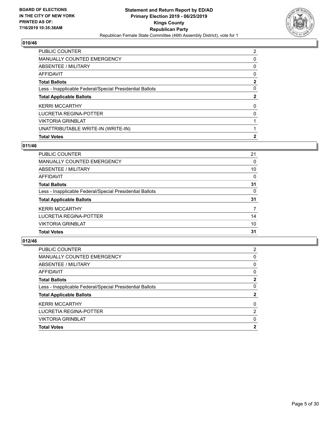

| PUBLIC COUNTER                                           | 2            |
|----------------------------------------------------------|--------------|
| <b>MANUALLY COUNTED EMERGENCY</b>                        | 0            |
| ABSENTEE / MILITARY                                      | 0            |
| AFFIDAVIT                                                | 0            |
| <b>Total Ballots</b>                                     | 2            |
| Less - Inapplicable Federal/Special Presidential Ballots | 0            |
| <b>Total Applicable Ballots</b>                          | 2            |
| <b>KERRI MCCARTHY</b>                                    | 0            |
| LUCRETIA REGINA-POTTER                                   | 0            |
| <b>VIKTORIA GRINBLAT</b>                                 |              |
| UNATTRIBUTABLE WRITE-IN (WRITE-IN)                       |              |
| <b>Total Votes</b>                                       | $\mathbf{2}$ |

# **011/46**

| <b>PUBLIC COUNTER</b>                                    | 21       |
|----------------------------------------------------------|----------|
| <b>MANUALLY COUNTED EMERGENCY</b>                        | 0        |
| <b>ABSENTEE / MILITARY</b>                               | 10       |
| AFFIDAVIT                                                | $\Omega$ |
| <b>Total Ballots</b>                                     | 31       |
| Less - Inapplicable Federal/Special Presidential Ballots | 0        |
| <b>Total Applicable Ballots</b>                          | 31       |
| <b>KERRI MCCARTHY</b>                                    | 7        |
| <b>LUCRETIA REGINA-POTTER</b>                            | 14       |
| <b>VIKTORIA GRINBLAT</b>                                 | 10       |
| <b>Total Votes</b>                                       | 31       |
|                                                          |          |

| <b>Total Votes</b>                                       | 2        |
|----------------------------------------------------------|----------|
| <b>VIKTORIA GRINBLAT</b>                                 | 0        |
| LUCRETIA REGINA-POTTER                                   | 2        |
| <b>KERRI MCCARTHY</b>                                    | $\Omega$ |
| <b>Total Applicable Ballots</b>                          | 2        |
| Less - Inapplicable Federal/Special Presidential Ballots | 0        |
| <b>Total Ballots</b>                                     | 2        |
| AFFIDAVIT                                                | 0        |
| ABSENTEE / MILITARY                                      | 0        |
| <b>MANUALLY COUNTED EMERGENCY</b>                        | 0        |
| <b>PUBLIC COUNTER</b>                                    | 2        |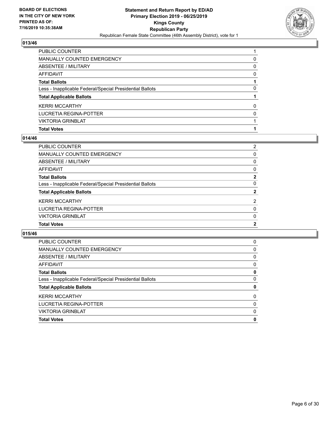

| PUBLIC COUNTER                                           |          |
|----------------------------------------------------------|----------|
| <b>MANUALLY COUNTED EMERGENCY</b>                        | 0        |
| ABSENTEE / MILITARY                                      | $\Omega$ |
| AFFIDAVIT                                                | $\Omega$ |
| <b>Total Ballots</b>                                     |          |
| Less - Inapplicable Federal/Special Presidential Ballots | 0        |
| <b>Total Applicable Ballots</b>                          |          |
| <b>KERRI MCCARTHY</b>                                    | 0        |
| LUCRETIA REGINA-POTTER                                   | $\Omega$ |
| <b>VIKTORIA GRINBLAT</b>                                 |          |
| <b>Total Votes</b>                                       |          |

## **014/46**

| PUBLIC COUNTER                                           | 2            |
|----------------------------------------------------------|--------------|
| <b>MANUALLY COUNTED EMERGENCY</b>                        | 0            |
| <b>ABSENTEE / MILITARY</b>                               | $\Omega$     |
| <b>AFFIDAVIT</b>                                         | 0            |
| <b>Total Ballots</b>                                     | $\mathbf{2}$ |
| Less - Inapplicable Federal/Special Presidential Ballots | $\Omega$     |
| <b>Total Applicable Ballots</b>                          | 2            |
| <b>KERRI MCCARTHY</b>                                    | 2            |
| <b>LUCRETIA REGINA-POTTER</b>                            | 0            |
| <b>VIKTORIA GRINBLAT</b>                                 | 0            |
| <b>Total Votes</b>                                       | $\mathbf{2}$ |
|                                                          |              |

| <b>PUBLIC COUNTER</b>                                    | 0        |
|----------------------------------------------------------|----------|
| MANUALLY COUNTED EMERGENCY                               | 0        |
| ABSENTEE / MILITARY                                      | $\Omega$ |
| AFFIDAVIT                                                | 0        |
| <b>Total Ballots</b>                                     | 0        |
| Less - Inapplicable Federal/Special Presidential Ballots | 0        |
| <b>Total Applicable Ballots</b>                          | 0        |
| <b>KERRI MCCARTHY</b>                                    | 0        |
| LUCRETIA REGINA-POTTER                                   | $\Omega$ |
| <b>VIKTORIA GRINBLAT</b>                                 | 0        |
| <b>Total Votes</b>                                       | 0        |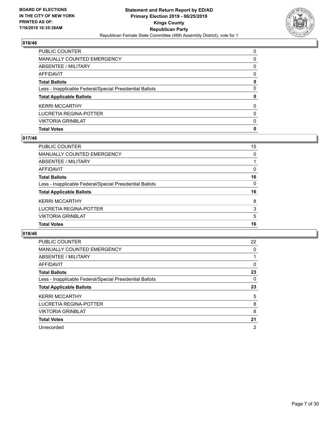

| PUBLIC COUNTER                                           | $\Omega$ |
|----------------------------------------------------------|----------|
| <b>MANUALLY COUNTED EMERGENCY</b>                        | 0        |
| ABSENTEE / MILITARY                                      | $\Omega$ |
| <b>AFFIDAVIT</b>                                         | $\Omega$ |
| <b>Total Ballots</b>                                     | 0        |
| Less - Inapplicable Federal/Special Presidential Ballots | $\Omega$ |
| <b>Total Applicable Ballots</b>                          | 0        |
| <b>KERRI MCCARTHY</b>                                    | $\Omega$ |
| LUCRETIA REGINA-POTTER                                   | $\Omega$ |
| <b>VIKTORIA GRINBLAT</b>                                 | $\Omega$ |
| <b>Total Votes</b>                                       | 0        |

## **017/46**

| 15       |
|----------|
| $\Omega$ |
|          |
| 0        |
| 16       |
| 0        |
| 16       |
| 8        |
| 3        |
| 5        |
| 16       |
|          |

| <b>PUBLIC COUNTER</b>                                    | 22             |
|----------------------------------------------------------|----------------|
| MANUALLY COUNTED EMERGENCY                               | 0              |
| ABSENTEE / MILITARY                                      |                |
| AFFIDAVIT                                                | $\Omega$       |
| <b>Total Ballots</b>                                     | 23             |
| Less - Inapplicable Federal/Special Presidential Ballots | 0              |
| <b>Total Applicable Ballots</b>                          | 23             |
| <b>KERRI MCCARTHY</b>                                    | 5              |
| LUCRETIA REGINA-POTTER                                   | 8              |
| <b>VIKTORIA GRINBLAT</b>                                 | 8              |
| <b>Total Votes</b>                                       | 21             |
| Unrecorded                                               | $\overline{2}$ |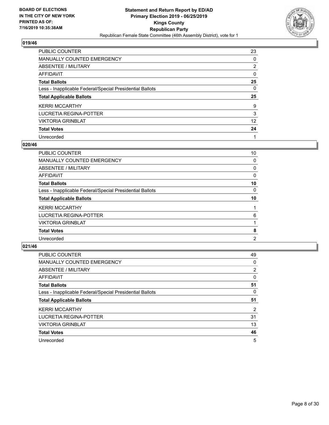

| <b>PUBLIC COUNTER</b>                                    | 23             |
|----------------------------------------------------------|----------------|
| <b>MANUALLY COUNTED EMERGENCY</b>                        | 0              |
| ABSENTEE / MILITARY                                      | $\overline{2}$ |
| AFFIDAVIT                                                | $\Omega$       |
| <b>Total Ballots</b>                                     | 25             |
| Less - Inapplicable Federal/Special Presidential Ballots | 0              |
|                                                          |                |
| <b>Total Applicable Ballots</b>                          | 25             |
| <b>KERRI MCCARTHY</b>                                    | 9              |
| LUCRETIA REGINA-POTTER                                   | 3              |
| <b>VIKTORIA GRINBLAT</b>                                 | 12             |
| <b>Total Votes</b>                                       | 24             |

#### **020/46**

| <b>PUBLIC COUNTER</b>                                    | 10       |
|----------------------------------------------------------|----------|
| <b>MANUALLY COUNTED EMERGENCY</b>                        | 0        |
| ABSENTEE / MILITARY                                      | 0        |
| AFFIDAVIT                                                | 0        |
| <b>Total Ballots</b>                                     | 10       |
| Less - Inapplicable Federal/Special Presidential Ballots | $\Omega$ |
| <b>Total Applicable Ballots</b>                          | 10       |
| <b>KERRI MCCARTHY</b>                                    |          |
| LUCRETIA REGINA-POTTER                                   | 6        |
| <b>VIKTORIA GRINBLAT</b>                                 |          |
| <b>Total Votes</b>                                       | 8        |
| Unrecorded                                               | 2        |

| <b>PUBLIC COUNTER</b>                                    | 49       |
|----------------------------------------------------------|----------|
| <b>MANUALLY COUNTED EMERGENCY</b>                        | 0        |
| ABSENTEE / MILITARY                                      | 2        |
| AFFIDAVIT                                                | $\Omega$ |
| <b>Total Ballots</b>                                     | 51       |
| Less - Inapplicable Federal/Special Presidential Ballots | 0        |
| <b>Total Applicable Ballots</b>                          | 51       |
| <b>KERRI MCCARTHY</b>                                    | 2        |
| LUCRETIA REGINA-POTTER                                   | 31       |
| <b>VIKTORIA GRINBLAT</b>                                 | 13       |
| <b>Total Votes</b>                                       | 46       |
| Unrecorded                                               | 5        |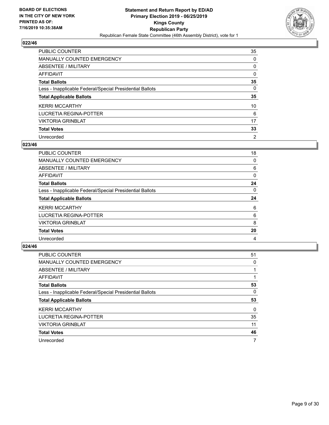

| PUBLIC COUNTER                                           | 35             |
|----------------------------------------------------------|----------------|
| MANUALLY COUNTED EMERGENCY                               | $\Omega$       |
| ABSENTEE / MILITARY                                      | 0              |
| AFFIDAVIT                                                | $\Omega$       |
| <b>Total Ballots</b>                                     | 35             |
| Less - Inapplicable Federal/Special Presidential Ballots | $\Omega$       |
| <b>Total Applicable Ballots</b>                          | 35             |
| <b>KERRI MCCARTHY</b>                                    | 10             |
| LUCRETIA REGINA-POTTER                                   | 6              |
| <b>VIKTORIA GRINBLAT</b>                                 | 17             |
| <b>Total Votes</b>                                       | 33             |
| Unrecorded                                               | $\overline{2}$ |

#### **023/46**

| <b>PUBLIC COUNTER</b>                                    | 18       |
|----------------------------------------------------------|----------|
| MANUALLY COUNTED EMERGENCY                               | 0        |
| <b>ABSENTEE / MILITARY</b>                               | 6        |
| <b>AFFIDAVIT</b>                                         | $\Omega$ |
| <b>Total Ballots</b>                                     | 24       |
| Less - Inapplicable Federal/Special Presidential Ballots | 0        |
| <b>Total Applicable Ballots</b>                          | 24       |
| <b>KERRI MCCARTHY</b>                                    | 6        |
| LUCRETIA REGINA-POTTER                                   | 6        |
| <b>VIKTORIA GRINBLAT</b>                                 | 8        |
| <b>Total Votes</b>                                       | 20       |
| Unrecorded                                               | 4        |

| <b>PUBLIC COUNTER</b>                                    | 51       |
|----------------------------------------------------------|----------|
| <b>MANUALLY COUNTED EMERGENCY</b>                        | $\Omega$ |
| ABSENTEE / MILITARY                                      |          |
| AFFIDAVIT                                                |          |
| <b>Total Ballots</b>                                     | 53       |
| Less - Inapplicable Federal/Special Presidential Ballots | $\Omega$ |
| <b>Total Applicable Ballots</b>                          | 53       |
| <b>KERRI MCCARTHY</b>                                    | $\Omega$ |
| LUCRETIA REGINA-POTTER                                   | 35       |
| <b>VIKTORIA GRINBLAT</b>                                 | 11       |
| <b>Total Votes</b>                                       | 46       |
| Unrecorded                                               | 7        |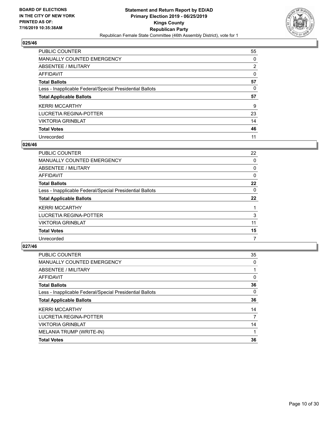

| <b>PUBLIC COUNTER</b>                                    | 55 |
|----------------------------------------------------------|----|
| <b>MANUALLY COUNTED EMERGENCY</b>                        | 0  |
| ABSENTEE / MILITARY                                      | 2  |
| AFFIDAVIT                                                | 0  |
| <b>Total Ballots</b>                                     | 57 |
| Less - Inapplicable Federal/Special Presidential Ballots | 0  |
| <b>Total Applicable Ballots</b>                          | 57 |
| <b>KERRI MCCARTHY</b>                                    | 9  |
| LUCRETIA REGINA-POTTER                                   | 23 |
| <b>VIKTORIA GRINBLAT</b>                                 | 14 |
| <b>Total Votes</b>                                       | 46 |
|                                                          |    |

#### **026/46**

| PUBLIC COUNTER                                           | 22       |
|----------------------------------------------------------|----------|
| MANUALLY COUNTED EMERGENCY                               | $\Omega$ |
| ABSENTEE / MILITARY                                      | 0        |
| <b>AFFIDAVIT</b>                                         | $\Omega$ |
| <b>Total Ballots</b>                                     | 22       |
| Less - Inapplicable Federal/Special Presidential Ballots | 0        |
| <b>Total Applicable Ballots</b>                          | 22       |
| <b>KERRI MCCARTHY</b>                                    |          |
| LUCRETIA REGINA-POTTER                                   | 3        |
| <b>VIKTORIA GRINBLAT</b>                                 | 11       |
| <b>Total Votes</b>                                       | 15       |
| Unrecorded                                               | 7        |

| <b>PUBLIC COUNTER</b>                                    | 35 |
|----------------------------------------------------------|----|
| <b>MANUALLY COUNTED EMERGENCY</b>                        | 0  |
| ABSENTEE / MILITARY                                      |    |
| AFFIDAVIT                                                | 0  |
| <b>Total Ballots</b>                                     | 36 |
| Less - Inapplicable Federal/Special Presidential Ballots | 0  |
| <b>Total Applicable Ballots</b>                          | 36 |
| <b>KERRI MCCARTHY</b>                                    | 14 |
| LUCRETIA REGINA-POTTER                                   | 7  |
| <b>VIKTORIA GRINBLAT</b>                                 | 14 |
| MELANIA TRUMP (WRITE-IN)                                 |    |
| <b>Total Votes</b>                                       | 36 |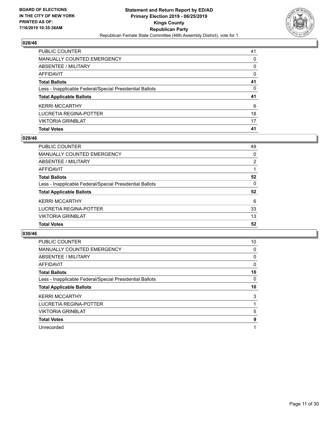

| <b>PUBLIC COUNTER</b>                                    | 41       |
|----------------------------------------------------------|----------|
| <b>MANUALLY COUNTED EMERGENCY</b>                        | $\Omega$ |
| ABSENTEE / MILITARY                                      | $\Omega$ |
| <b>AFFIDAVIT</b>                                         | $\Omega$ |
| <b>Total Ballots</b>                                     | 41       |
| Less - Inapplicable Federal/Special Presidential Ballots | 0        |
| <b>Total Applicable Ballots</b>                          | 41       |
| <b>KERRI MCCARTHY</b>                                    | 6        |
| LUCRETIA REGINA-POTTER                                   | 18       |
| <b>VIKTORIA GRINBLAT</b>                                 | 17       |
| <b>Total Votes</b>                                       | 41       |

## **029/46**

| <b>PUBLIC COUNTER</b>                                    | 49             |
|----------------------------------------------------------|----------------|
| <b>MANUALLY COUNTED EMERGENCY</b>                        | 0              |
| ABSENTEE / MILITARY                                      | $\overline{2}$ |
| AFFIDAVIT                                                |                |
| <b>Total Ballots</b>                                     | 52             |
| Less - Inapplicable Federal/Special Presidential Ballots | $\Omega$       |
| <b>Total Applicable Ballots</b>                          | 52             |
| <b>KERRI MCCARTHY</b>                                    | 6              |
| LUCRETIA REGINA-POTTER                                   | 33             |
| <b>VIKTORIA GRINBLAT</b>                                 | 13             |
| <b>Total Votes</b>                                       | 52             |
|                                                          |                |

| <b>PUBLIC COUNTER</b>                                    | 10 |
|----------------------------------------------------------|----|
| <b>MANUALLY COUNTED EMERGENCY</b>                        | 0  |
| ABSENTEE / MILITARY                                      | 0  |
| AFFIDAVIT                                                | 0  |
| <b>Total Ballots</b>                                     | 10 |
| Less - Inapplicable Federal/Special Presidential Ballots | 0  |
| <b>Total Applicable Ballots</b>                          | 10 |
| <b>KERRI MCCARTHY</b>                                    | 3  |
| LUCRETIA REGINA-POTTER                                   |    |
| <b>VIKTORIA GRINBLAT</b>                                 | 5  |
| <b>Total Votes</b>                                       | 9  |
| Unrecorded                                               |    |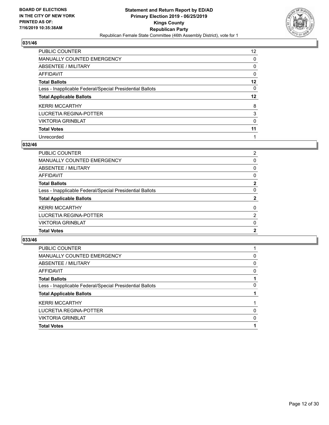

| <b>PUBLIC COUNTER</b>                                    | 12 <sup>2</sup> |
|----------------------------------------------------------|-----------------|
| <b>MANUALLY COUNTED EMERGENCY</b>                        | $\Omega$        |
| ABSENTEE / MILITARY                                      | 0               |
| AFFIDAVIT                                                | 0               |
| <b>Total Ballots</b>                                     | 12              |
| Less - Inapplicable Federal/Special Presidential Ballots | $\Omega$        |
| <b>Total Applicable Ballots</b>                          | $12 \,$         |
| <b>KERRI MCCARTHY</b>                                    | 8               |
| LUCRETIA REGINA-POTTER                                   | 3               |
| <b>VIKTORIA GRINBLAT</b>                                 | 0               |
| <b>Total Votes</b>                                       | 11              |
| Unrecorded                                               |                 |

#### **032/46**

| <b>MANUALLY COUNTED EMERGENCY</b><br>0                               |
|----------------------------------------------------------------------|
| ABSENTEE / MILITARY<br>$\Omega$                                      |
| <b>AFFIDAVIT</b><br>$\Omega$                                         |
| $\mathbf{2}$<br><b>Total Ballots</b>                                 |
| $\Omega$<br>Less - Inapplicable Federal/Special Presidential Ballots |
| 2<br><b>Total Applicable Ballots</b>                                 |
| <b>KERRI MCCARTHY</b><br>$\Omega$                                    |
| LUCRETIA REGINA-POTTER<br>$\overline{2}$                             |
| <b>VIKTORIA GRINBLAT</b><br>$\Omega$                                 |
| $\mathbf{2}$<br><b>Total Votes</b>                                   |

| <b>PUBLIC COUNTER</b>                                    |          |
|----------------------------------------------------------|----------|
| <b>MANUALLY COUNTED EMERGENCY</b>                        | 0        |
| ABSENTEE / MILITARY                                      | 0        |
| AFFIDAVIT                                                | 0        |
| <b>Total Ballots</b>                                     |          |
| Less - Inapplicable Federal/Special Presidential Ballots | 0        |
| <b>Total Applicable Ballots</b>                          |          |
| <b>KERRI MCCARTHY</b>                                    |          |
| LUCRETIA REGINA-POTTER                                   | $\Omega$ |
| <b>VIKTORIA GRINBLAT</b>                                 | 0        |
| <b>Total Votes</b>                                       |          |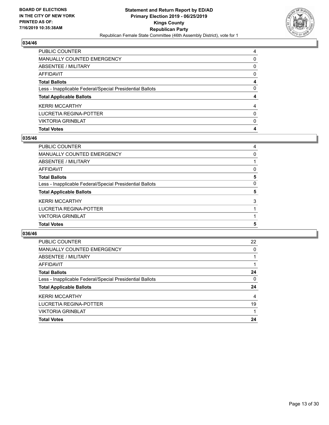

| PUBLIC COUNTER                                           | 4        |
|----------------------------------------------------------|----------|
| <b>MANUALLY COUNTED EMERGENCY</b>                        | 0        |
| ABSENTEE / MILITARY                                      | $\Omega$ |
| <b>AFFIDAVIT</b>                                         | $\Omega$ |
| <b>Total Ballots</b>                                     | 4        |
| Less - Inapplicable Federal/Special Presidential Ballots | $\Omega$ |
| <b>Total Applicable Ballots</b>                          | 4        |
| <b>KERRI MCCARTHY</b>                                    | 4        |
| LUCRETIA REGINA-POTTER                                   | $\Omega$ |
| <b>VIKTORIA GRINBLAT</b>                                 | $\Omega$ |
| <b>Total Votes</b>                                       | 4        |

## **035/46**

| <b>PUBLIC COUNTER</b>                                    | 4 |
|----------------------------------------------------------|---|
| MANUALLY COUNTED EMERGENCY                               | 0 |
| ABSENTEE / MILITARY                                      |   |
| <b>AFFIDAVIT</b>                                         | 0 |
| <b>Total Ballots</b>                                     | 5 |
| Less - Inapplicable Federal/Special Presidential Ballots | 0 |
| <b>Total Applicable Ballots</b>                          | 5 |
| <b>KERRI MCCARTHY</b>                                    | 3 |
| LUCRETIA REGINA-POTTER                                   |   |
| <b>VIKTORIA GRINBLAT</b>                                 |   |
| <b>Total Votes</b>                                       | 5 |
|                                                          |   |

| PUBLIC COUNTER                                           | 22 |
|----------------------------------------------------------|----|
| MANUALLY COUNTED EMERGENCY                               | 0  |
| ABSENTEE / MILITARY                                      |    |
| AFFIDAVIT                                                |    |
| <b>Total Ballots</b>                                     | 24 |
| Less - Inapplicable Federal/Special Presidential Ballots | 0  |
| <b>Total Applicable Ballots</b>                          | 24 |
| <b>KERRI MCCARTHY</b>                                    | 4  |
| LUCRETIA REGINA-POTTER                                   | 19 |
| <b>VIKTORIA GRINBLAT</b>                                 |    |
| <b>Total Votes</b>                                       | 24 |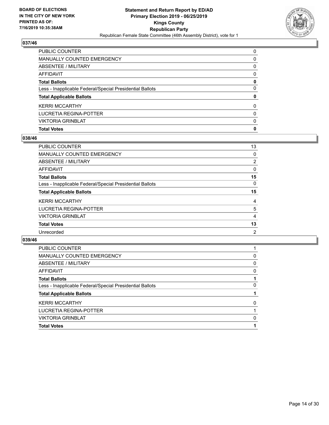

| PUBLIC COUNTER                                           | $\Omega$ |
|----------------------------------------------------------|----------|
| <b>MANUALLY COUNTED EMERGENCY</b>                        | 0        |
| ABSENTEE / MILITARY                                      | $\Omega$ |
| <b>AFFIDAVIT</b>                                         | $\Omega$ |
| <b>Total Ballots</b>                                     | 0        |
| Less - Inapplicable Federal/Special Presidential Ballots | $\Omega$ |
| <b>Total Applicable Ballots</b>                          | 0        |
| <b>KERRI MCCARTHY</b>                                    | $\Omega$ |
| LUCRETIA REGINA-POTTER                                   | $\Omega$ |
| <b>VIKTORIA GRINBLAT</b>                                 | $\Omega$ |
| <b>Total Votes</b>                                       | 0        |

## **038/46**

| PUBLIC COUNTER                                           | 13 |
|----------------------------------------------------------|----|
| <b>MANUALLY COUNTED EMERGENCY</b>                        | 0  |
| <b>ABSENTEE / MILITARY</b>                               | 2  |
| <b>AFFIDAVIT</b>                                         | 0  |
| <b>Total Ballots</b>                                     | 15 |
| Less - Inapplicable Federal/Special Presidential Ballots | 0  |
| <b>Total Applicable Ballots</b>                          | 15 |
| <b>KERRI MCCARTHY</b>                                    | 4  |
| LUCRETIA REGINA-POTTER                                   | 5  |
| <b>VIKTORIA GRINBLAT</b>                                 | 4  |
| <b>Total Votes</b>                                       | 13 |
| Unrecorded                                               | 2  |
|                                                          |    |

| 0 |
|---|
| 0 |
| 0 |
|   |
| 0 |
|   |
| 0 |
|   |
| 0 |
|   |
|   |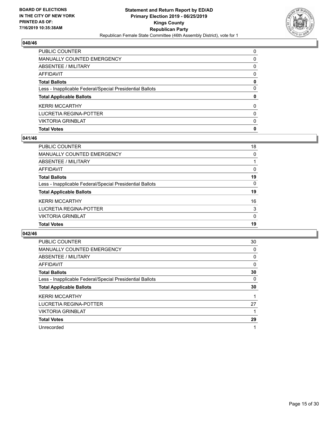

| PUBLIC COUNTER                                           | $\Omega$ |
|----------------------------------------------------------|----------|
| <b>MANUALLY COUNTED EMERGENCY</b>                        | 0        |
| ABSENTEE / MILITARY                                      | $\Omega$ |
| <b>AFFIDAVIT</b>                                         | $\Omega$ |
| <b>Total Ballots</b>                                     | 0        |
| Less - Inapplicable Federal/Special Presidential Ballots | $\Omega$ |
| <b>Total Applicable Ballots</b>                          | 0        |
| <b>KERRI MCCARTHY</b>                                    | $\Omega$ |
| LUCRETIA REGINA-POTTER                                   | $\Omega$ |
| <b>VIKTORIA GRINBLAT</b>                                 | $\Omega$ |
| <b>Total Votes</b>                                       | 0        |

## **041/46**

| PUBLIC COUNTER                                           | 18       |
|----------------------------------------------------------|----------|
| <b>MANUALLY COUNTED EMERGENCY</b>                        | 0        |
| ABSENTEE / MILITARY                                      |          |
| <b>AFFIDAVIT</b>                                         | 0        |
| <b>Total Ballots</b>                                     | 19       |
| Less - Inapplicable Federal/Special Presidential Ballots | $\Omega$ |
| <b>Total Applicable Ballots</b>                          | 19       |
| <b>KERRI MCCARTHY</b>                                    | 16       |
| LUCRETIA REGINA-POTTER                                   | 3        |
| <b>VIKTORIA GRINBLAT</b>                                 | $\Omega$ |
| <b>Total Votes</b>                                       | 19       |
|                                                          |          |

| PUBLIC COUNTER                                           | 30 |
|----------------------------------------------------------|----|
| <b>MANUALLY COUNTED EMERGENCY</b>                        | 0  |
| ABSENTEE / MILITARY                                      | 0  |
| AFFIDAVIT                                                | 0  |
| <b>Total Ballots</b>                                     | 30 |
| Less - Inapplicable Federal/Special Presidential Ballots | 0  |
| <b>Total Applicable Ballots</b>                          | 30 |
| <b>KERRI MCCARTHY</b>                                    |    |
| LUCRETIA REGINA-POTTER                                   | 27 |
| <b>VIKTORIA GRINBLAT</b>                                 |    |
| <b>Total Votes</b>                                       | 29 |
| Unrecorded                                               |    |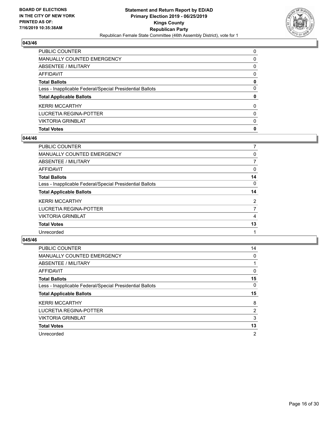

| PUBLIC COUNTER                                           | $\Omega$ |
|----------------------------------------------------------|----------|
| <b>MANUALLY COUNTED EMERGENCY</b>                        | 0        |
| ABSENTEE / MILITARY                                      | $\Omega$ |
| <b>AFFIDAVIT</b>                                         | $\Omega$ |
| <b>Total Ballots</b>                                     | 0        |
| Less - Inapplicable Federal/Special Presidential Ballots | $\Omega$ |
| <b>Total Applicable Ballots</b>                          | 0        |
| <b>KERRI MCCARTHY</b>                                    | $\Omega$ |
| LUCRETIA REGINA-POTTER                                   | $\Omega$ |
| <b>VIKTORIA GRINBLAT</b>                                 | $\Omega$ |
| <b>Total Votes</b>                                       | 0        |

## **044/46**

| PUBLIC COUNTER                                           | 7  |
|----------------------------------------------------------|----|
| MANUALLY COUNTED EMERGENCY                               | 0  |
| <b>ABSENTEE / MILITARY</b>                               | 7  |
| <b>AFFIDAVIT</b>                                         | 0  |
| <b>Total Ballots</b>                                     | 14 |
| Less - Inapplicable Federal/Special Presidential Ballots | 0  |
| <b>Total Applicable Ballots</b>                          | 14 |
| <b>KERRI MCCARTHY</b>                                    | 2  |
| LUCRETIA REGINA-POTTER                                   | 7  |
| <b>VIKTORIA GRINBLAT</b>                                 | 4  |
| <b>Total Votes</b>                                       | 13 |
| Unrecorded                                               |    |
|                                                          |    |

| <b>PUBLIC COUNTER</b>                                    | 14             |
|----------------------------------------------------------|----------------|
| MANUALLY COUNTED EMERGENCY                               | $\Omega$       |
| ABSENTEE / MILITARY                                      |                |
| <b>AFFIDAVIT</b>                                         | 0              |
| <b>Total Ballots</b>                                     | 15             |
| Less - Inapplicable Federal/Special Presidential Ballots | $\Omega$       |
| <b>Total Applicable Ballots</b>                          | 15             |
| <b>KERRI MCCARTHY</b>                                    | 8              |
| LUCRETIA REGINA-POTTER                                   | 2              |
| <b>VIKTORIA GRINBLAT</b>                                 | 3              |
| <b>Total Votes</b>                                       | 13             |
| Unrecorded                                               | $\overline{2}$ |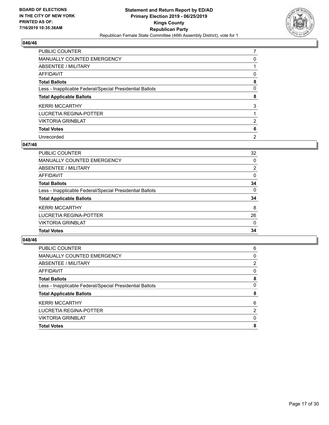

| <b>PUBLIC COUNTER</b>                                    | 7              |
|----------------------------------------------------------|----------------|
| <b>MANUALLY COUNTED EMERGENCY</b>                        | 0              |
| <b>ABSENTEE / MILITARY</b>                               |                |
| AFFIDAVIT                                                | 0              |
| <b>Total Ballots</b>                                     | 8              |
| Less - Inapplicable Federal/Special Presidential Ballots | 0              |
| <b>Total Applicable Ballots</b>                          | 8              |
| <b>KERRI MCCARTHY</b>                                    | 3              |
| LUCRETIA REGINA-POTTER                                   |                |
| <b>VIKTORIA GRINBLAT</b>                                 | 2              |
| <b>Total Votes</b>                                       | 6              |
| Unrecorded                                               | $\overline{2}$ |

#### **047/46**

| PUBLIC COUNTER                                           | 32             |
|----------------------------------------------------------|----------------|
| <b>MANUALLY COUNTED EMERGENCY</b>                        | $\Omega$       |
| ABSENTEE / MILITARY                                      | $\overline{2}$ |
| AFFIDAVIT                                                | $\Omega$       |
| <b>Total Ballots</b>                                     | 34             |
| Less - Inapplicable Federal/Special Presidential Ballots | $\Omega$       |
| <b>Total Applicable Ballots</b>                          | 34             |
| <b>KERRI MCCARTHY</b>                                    | 8              |
| LUCRETIA REGINA-POTTER                                   | 26             |
| <b>VIKTORIA GRINBLAT</b>                                 | $\Omega$       |
| <b>Total Votes</b>                                       | 34             |

| <b>PUBLIC COUNTER</b>                                    | 6 |
|----------------------------------------------------------|---|
| <b>MANUALLY COUNTED EMERGENCY</b>                        | 0 |
| ABSENTEE / MILITARY                                      | 2 |
| AFFIDAVIT                                                | 0 |
| <b>Total Ballots</b>                                     | 8 |
| Less - Inapplicable Federal/Special Presidential Ballots | 0 |
| <b>Total Applicable Ballots</b>                          | 8 |
| <b>KERRI MCCARTHY</b>                                    | 6 |
| LUCRETIA REGINA-POTTER                                   | 2 |
| <b>VIKTORIA GRINBLAT</b>                                 | 0 |
| <b>Total Votes</b>                                       | 8 |
|                                                          |   |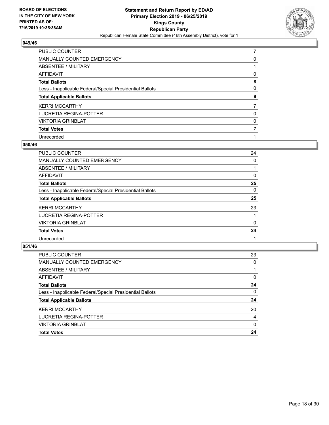

| <b>PUBLIC COUNTER</b>                                    | 7 |
|----------------------------------------------------------|---|
| <b>MANUALLY COUNTED EMERGENCY</b>                        | 0 |
| <b>ABSENTEE / MILITARY</b>                               |   |
| AFFIDAVIT                                                | 0 |
| <b>Total Ballots</b>                                     | 8 |
| Less - Inapplicable Federal/Special Presidential Ballots | 0 |
| <b>Total Applicable Ballots</b>                          | 8 |
| <b>KERRI MCCARTHY</b>                                    |   |
| LUCRETIA REGINA-POTTER                                   | 0 |
| <b>VIKTORIA GRINBLAT</b>                                 | 0 |
| <b>Total Votes</b>                                       |   |
| Unrecorded                                               |   |

#### **050/46**

| <b>PUBLIC COUNTER</b>                                    | 24       |
|----------------------------------------------------------|----------|
| <b>MANUALLY COUNTED EMERGENCY</b>                        | 0        |
| ABSENTEE / MILITARY                                      |          |
| AFFIDAVIT                                                | 0        |
| <b>Total Ballots</b>                                     | 25       |
| Less - Inapplicable Federal/Special Presidential Ballots | $\Omega$ |
| <b>Total Applicable Ballots</b>                          | 25       |
| <b>KERRI MCCARTHY</b>                                    | 23       |
| LUCRETIA REGINA-POTTER                                   |          |
| <b>VIKTORIA GRINBLAT</b>                                 | $\Omega$ |
| <b>Total Votes</b>                                       | 24       |
| Unrecorded                                               |          |

| <b>PUBLIC COUNTER</b>                                    | 23       |
|----------------------------------------------------------|----------|
| <b>MANUALLY COUNTED EMERGENCY</b>                        | $\Omega$ |
| ABSENTEE / MILITARY                                      |          |
| AFFIDAVIT                                                | $\Omega$ |
| <b>Total Ballots</b>                                     | 24       |
| Less - Inapplicable Federal/Special Presidential Ballots | $\Omega$ |
| <b>Total Applicable Ballots</b>                          | 24       |
| <b>KERRI MCCARTHY</b>                                    | 20       |
| LUCRETIA REGINA-POTTER                                   | 4        |
| <b>VIKTORIA GRINBLAT</b>                                 | 0        |
| <b>Total Votes</b>                                       | 24       |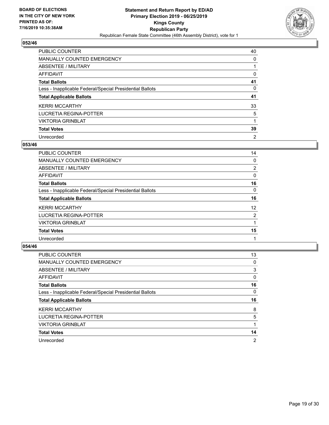

| <b>PUBLIC COUNTER</b>                                    | 40             |
|----------------------------------------------------------|----------------|
| MANUALLY COUNTED EMERGENCY                               | 0              |
| ABSENTEE / MILITARY                                      |                |
| AFFIDAVIT                                                | 0              |
| <b>Total Ballots</b>                                     | 41             |
| Less - Inapplicable Federal/Special Presidential Ballots | 0              |
| <b>Total Applicable Ballots</b>                          | 41             |
| <b>KERRI MCCARTHY</b>                                    | 33             |
| LUCRETIA REGINA-POTTER                                   | 5              |
| <b>VIKTORIA GRINBLAT</b>                                 |                |
| <b>Total Votes</b>                                       | 39             |
| Unrecorded                                               | $\overline{2}$ |

#### **053/46**

| <b>PUBLIC COUNTER</b>                                    | 14             |
|----------------------------------------------------------|----------------|
| <b>MANUALLY COUNTED EMERGENCY</b>                        | $\Omega$       |
| ABSENTEE / MILITARY                                      | $\overline{2}$ |
| AFFIDAVIT                                                | 0              |
| <b>Total Ballots</b>                                     | 16             |
| Less - Inapplicable Federal/Special Presidential Ballots | 0              |
| <b>Total Applicable Ballots</b>                          | 16             |
| <b>KERRI MCCARTHY</b>                                    | 12             |
| LUCRETIA REGINA-POTTER                                   | 2              |
| <b>VIKTORIA GRINBLAT</b>                                 |                |
| <b>Total Votes</b>                                       | 15             |
| Unrecorded                                               |                |

| <b>PUBLIC COUNTER</b>                                    | 13             |
|----------------------------------------------------------|----------------|
| MANUALLY COUNTED EMERGENCY                               | 0              |
| ABSENTEE / MILITARY                                      | 3              |
| AFFIDAVIT                                                | $\Omega$       |
| <b>Total Ballots</b>                                     | 16             |
| Less - Inapplicable Federal/Special Presidential Ballots | $\Omega$       |
| <b>Total Applicable Ballots</b>                          | 16             |
| <b>KERRI MCCARTHY</b>                                    | 8              |
| LUCRETIA REGINA-POTTER                                   | 5              |
| <b>VIKTORIA GRINBLAT</b>                                 |                |
| <b>Total Votes</b>                                       | 14             |
| Unrecorded                                               | $\overline{2}$ |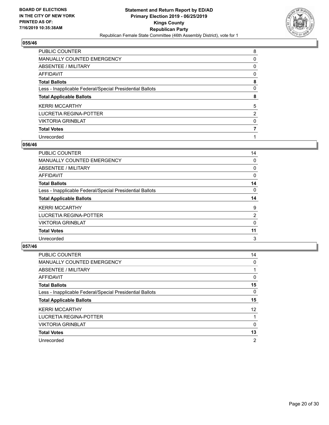

| PUBLIC COUNTER                                           | 8              |
|----------------------------------------------------------|----------------|
| MANUALLY COUNTED EMERGENCY                               | 0              |
| ABSENTEE / MILITARY                                      | 0              |
| AFFIDAVIT                                                | 0              |
| <b>Total Ballots</b>                                     | 8              |
| Less - Inapplicable Federal/Special Presidential Ballots | 0              |
| <b>Total Applicable Ballots</b>                          | 8              |
| <b>KERRI MCCARTHY</b>                                    | 5              |
| LUCRETIA REGINA-POTTER                                   | $\overline{2}$ |
| <b>VIKTORIA GRINBLAT</b>                                 | 0              |
| <b>Total Votes</b>                                       |                |
| Unrecorded                                               |                |

#### **056/46**

| <b>PUBLIC COUNTER</b>                                    | 14       |
|----------------------------------------------------------|----------|
| <b>MANUALLY COUNTED EMERGENCY</b>                        | 0        |
| ABSENTEE / MILITARY                                      | 0        |
| AFFIDAVIT                                                | 0        |
| <b>Total Ballots</b>                                     | 14       |
| Less - Inapplicable Federal/Special Presidential Ballots | $\Omega$ |
| <b>Total Applicable Ballots</b>                          | 14       |
| <b>KERRI MCCARTHY</b>                                    | 9        |
| LUCRETIA REGINA-POTTER                                   | 2        |
| <b>VIKTORIA GRINBLAT</b>                                 | 0        |
| <b>Total Votes</b>                                       | 11       |
| Unrecorded                                               | 3        |

| <b>PUBLIC COUNTER</b>                                    | 14              |
|----------------------------------------------------------|-----------------|
| <b>MANUALLY COUNTED EMERGENCY</b>                        | $\Omega$        |
| ABSENTEE / MILITARY                                      |                 |
| <b>AFFIDAVIT</b>                                         | 0               |
| <b>Total Ballots</b>                                     | 15              |
| Less - Inapplicable Federal/Special Presidential Ballots | 0               |
| <b>Total Applicable Ballots</b>                          | 15              |
| <b>KERRI MCCARTHY</b>                                    | 12 <sup>2</sup> |
| LUCRETIA REGINA-POTTER                                   |                 |
| <b>VIKTORIA GRINBLAT</b>                                 | $\Omega$        |
| <b>Total Votes</b>                                       | 13              |
| Unrecorded                                               | 2               |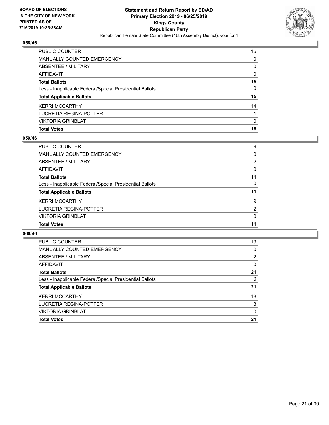

| <b>PUBLIC COUNTER</b>                                    | 15       |
|----------------------------------------------------------|----------|
| <b>MANUALLY COUNTED EMERGENCY</b>                        | $\Omega$ |
| ABSENTEE / MILITARY                                      | $\Omega$ |
| AFFIDAVIT                                                | $\Omega$ |
| <b>Total Ballots</b>                                     | 15       |
| Less - Inapplicable Federal/Special Presidential Ballots | $\Omega$ |
| <b>Total Applicable Ballots</b>                          | 15       |
| <b>KERRI MCCARTHY</b>                                    | 14       |
| <b>LUCRETIA REGINA-POTTER</b>                            |          |
| <b>VIKTORIA GRINBLAT</b>                                 | $\Omega$ |
| <b>Total Votes</b>                                       | 15       |

## **059/46**

| <b>PUBLIC COUNTER</b>                                    | 9              |
|----------------------------------------------------------|----------------|
| <b>MANUALLY COUNTED EMERGENCY</b>                        | $\Omega$       |
| ABSENTEE / MILITARY                                      | $\overline{2}$ |
| AFFIDAVIT                                                | $\Omega$       |
| <b>Total Ballots</b>                                     | 11             |
| Less - Inapplicable Federal/Special Presidential Ballots | $\Omega$       |
| <b>Total Applicable Ballots</b>                          | 11             |
| <b>KERRI MCCARTHY</b>                                    | 9              |
| LUCRETIA REGINA-POTTER                                   | $\overline{2}$ |
| <b>VIKTORIA GRINBLAT</b>                                 | 0              |
| <b>Total Votes</b>                                       | 11             |
|                                                          |                |

| <b>PUBLIC COUNTER</b>                                    | 19       |
|----------------------------------------------------------|----------|
| MANUALLY COUNTED EMERGENCY                               | 0        |
| ABSENTEE / MILITARY                                      | 2        |
| AFFIDAVIT                                                | $\Omega$ |
| <b>Total Ballots</b>                                     | 21       |
| Less - Inapplicable Federal/Special Presidential Ballots | $\Omega$ |
| <b>Total Applicable Ballots</b>                          | 21       |
| <b>KERRI MCCARTHY</b>                                    | 18       |
| LUCRETIA REGINA-POTTER                                   | 3        |
| <b>VIKTORIA GRINBLAT</b>                                 | 0        |
| <b>Total Votes</b>                                       | 21       |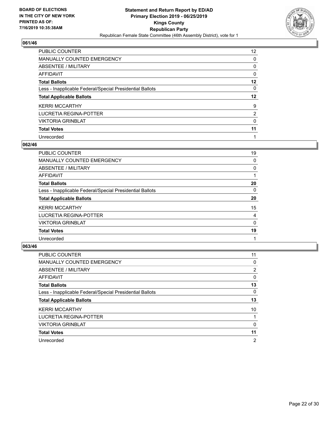

| <b>PUBLIC COUNTER</b>                                    | 12 <sup>2</sup> |
|----------------------------------------------------------|-----------------|
| MANUALLY COUNTED EMERGENCY                               | 0               |
| ABSENTEE / MILITARY                                      | 0               |
| AFFIDAVIT                                                | 0               |
| <b>Total Ballots</b>                                     | 12              |
| Less - Inapplicable Federal/Special Presidential Ballots | 0               |
| <b>Total Applicable Ballots</b>                          | $12 \,$         |
| <b>KERRI MCCARTHY</b>                                    | 9               |
| LUCRETIA REGINA-POTTER                                   | $\overline{2}$  |
| <b>VIKTORIA GRINBLAT</b>                                 | 0               |
| <b>Total Votes</b>                                       | 11              |
| Unrecorded                                               |                 |

#### **062/46**

| <b>PUBLIC COUNTER</b>                                    | 19       |
|----------------------------------------------------------|----------|
| MANUALLY COUNTED EMERGENCY                               | 0        |
| ABSENTEE / MILITARY                                      | 0        |
| AFFIDAVIT                                                |          |
| <b>Total Ballots</b>                                     | 20       |
| Less - Inapplicable Federal/Special Presidential Ballots | 0        |
| <b>Total Applicable Ballots</b>                          | 20       |
| <b>KERRI MCCARTHY</b>                                    | 15       |
| LUCRETIA REGINA-POTTER                                   | 4        |
| <b>VIKTORIA GRINBLAT</b>                                 | $\Omega$ |
| <b>Total Votes</b>                                       | 19       |
| Unrecorded                                               |          |

| <b>PUBLIC COUNTER</b>                                    | 11             |
|----------------------------------------------------------|----------------|
| <b>MANUALLY COUNTED EMERGENCY</b>                        | 0              |
| ABSENTEE / MILITARY                                      | $\overline{2}$ |
| <b>AFFIDAVIT</b>                                         | 0              |
| <b>Total Ballots</b>                                     | 13             |
| Less - Inapplicable Federal/Special Presidential Ballots | $\Omega$       |
| <b>Total Applicable Ballots</b>                          | 13             |
| <b>KERRI MCCARTHY</b>                                    | 10             |
| LUCRETIA REGINA-POTTER                                   |                |
| <b>VIKTORIA GRINBLAT</b>                                 | $\Omega$       |
| <b>Total Votes</b>                                       | 11             |
| Unrecorded                                               | $\overline{2}$ |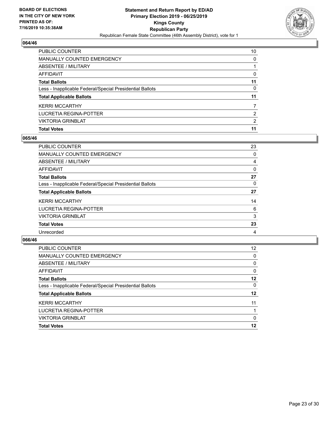

| <b>PUBLIC COUNTER</b>                                    | 10            |
|----------------------------------------------------------|---------------|
| MANUALLY COUNTED EMERGENCY                               | 0             |
| ABSENTEE / MILITARY                                      |               |
| AFFIDAVIT                                                | 0             |
| <b>Total Ballots</b>                                     | 11            |
| Less - Inapplicable Federal/Special Presidential Ballots | 0             |
| <b>Total Applicable Ballots</b>                          | 11            |
| <b>KERRI MCCARTHY</b>                                    | 7             |
| LUCRETIA REGINA-POTTER                                   | $\mathcal{P}$ |
| <b>VIKTORIA GRINBLAT</b>                                 | 2             |
| <b>Total Votes</b>                                       | 11            |

## **065/46**

| PUBLIC COUNTER                                           | 23             |
|----------------------------------------------------------|----------------|
| <b>MANUALLY COUNTED EMERGENCY</b>                        | 0              |
| ABSENTEE / MILITARY                                      | 4              |
| <b>AFFIDAVIT</b>                                         | 0              |
| <b>Total Ballots</b>                                     | 27             |
| Less - Inapplicable Federal/Special Presidential Ballots | $\Omega$       |
| <b>Total Applicable Ballots</b>                          | 27             |
| <b>KERRI MCCARTHY</b>                                    | 14             |
| LUCRETIA REGINA-POTTER                                   | 6              |
| <b>VIKTORIA GRINBLAT</b>                                 | 3              |
| <b>Total Votes</b>                                       | 23             |
| Unrecorded                                               | $\overline{4}$ |
|                                                          |                |

| <b>PUBLIC COUNTER</b>                                    | 12 <sup>2</sup> |
|----------------------------------------------------------|-----------------|
| <b>MANUALLY COUNTED EMERGENCY</b>                        | 0               |
| ABSENTEE / MILITARY                                      | $\Omega$        |
| AFFIDAVIT                                                | $\Omega$        |
| <b>Total Ballots</b>                                     | 12              |
| Less - Inapplicable Federal/Special Presidential Ballots | 0               |
| <b>Total Applicable Ballots</b>                          | 12              |
| <b>KERRI MCCARTHY</b>                                    | 11              |
| LUCRETIA REGINA-POTTER                                   |                 |
| <b>VIKTORIA GRINBLAT</b>                                 | 0               |
| <b>Total Votes</b>                                       | 12              |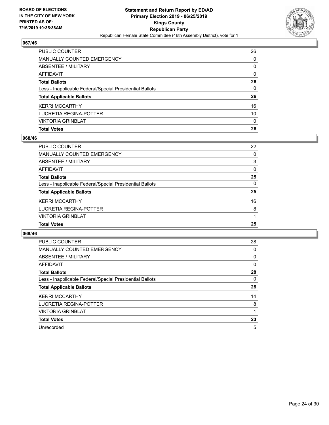

| PUBLIC COUNTER                                           | 26       |
|----------------------------------------------------------|----------|
| MANUALLY COUNTED EMERGENCY                               | $\Omega$ |
| ABSENTEE / MILITARY                                      | 0        |
| <b>AFFIDAVIT</b>                                         | $\Omega$ |
| <b>Total Ballots</b>                                     | 26       |
| Less - Inapplicable Federal/Special Presidential Ballots | $\Omega$ |
| <b>Total Applicable Ballots</b>                          | 26       |
| <b>KERRI MCCARTHY</b>                                    | 16       |
| LUCRETIA REGINA-POTTER                                   | 10       |
| <b>VIKTORIA GRINBLAT</b>                                 | $\Omega$ |
| <b>Total Votes</b>                                       | 26       |

## **068/46**

| <b>PUBLIC COUNTER</b>                                    | 22       |
|----------------------------------------------------------|----------|
| <b>MANUALLY COUNTED EMERGENCY</b>                        | $\Omega$ |
| ABSENTEE / MILITARY                                      | 3        |
| AFFIDAVIT                                                | $\Omega$ |
| <b>Total Ballots</b>                                     | 25       |
| Less - Inapplicable Federal/Special Presidential Ballots | $\Omega$ |
| <b>Total Applicable Ballots</b>                          | 25       |
| <b>KERRI MCCARTHY</b>                                    | 16       |
| LUCRETIA REGINA-POTTER                                   | 8        |
| <b>VIKTORIA GRINBLAT</b>                                 |          |
| <b>Total Votes</b>                                       | 25       |
|                                                          |          |

| <b>PUBLIC COUNTER</b>                                    | 28       |
|----------------------------------------------------------|----------|
| <b>MANUALLY COUNTED EMERGENCY</b>                        | 0        |
| ABSENTEE / MILITARY                                      | 0        |
| AFFIDAVIT                                                | $\Omega$ |
| <b>Total Ballots</b>                                     | 28       |
| Less - Inapplicable Federal/Special Presidential Ballots | 0        |
| <b>Total Applicable Ballots</b>                          | 28       |
| <b>KERRI MCCARTHY</b>                                    | 14       |
| LUCRETIA REGINA-POTTER                                   | 8        |
| <b>VIKTORIA GRINBLAT</b>                                 |          |
| <b>Total Votes</b>                                       | 23       |
| Unrecorded                                               | 5        |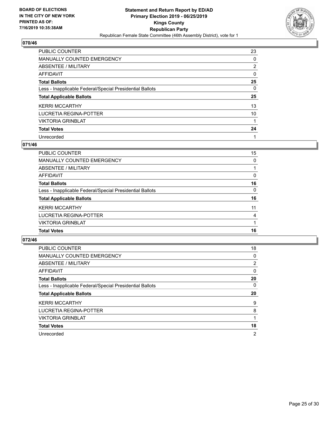

| <b>PUBLIC COUNTER</b>                                    | 23       |
|----------------------------------------------------------|----------|
| <b>MANUALLY COUNTED EMERGENCY</b>                        | $\Omega$ |
| ABSENTEE / MILITARY                                      | 2        |
| AFFIDAVIT                                                | $\Omega$ |
| <b>Total Ballots</b>                                     | 25       |
| Less - Inapplicable Federal/Special Presidential Ballots | 0        |
| <b>Total Applicable Ballots</b>                          | 25       |
| <b>KERRI MCCARTHY</b>                                    | 13       |
| LUCRETIA REGINA-POTTER                                   | 10       |
| <b>VIKTORIA GRINBLAT</b>                                 |          |
| <b>Total Votes</b>                                       | 24       |
| Unrecorded                                               |          |

#### **071/46**

| PUBLIC COUNTER                                           | 15             |
|----------------------------------------------------------|----------------|
| <b>MANUALLY COUNTED EMERGENCY</b>                        | 0              |
| ABSENTEE / MILITARY                                      |                |
| AFFIDAVIT                                                | $\Omega$       |
| <b>Total Ballots</b>                                     | 16             |
| Less - Inapplicable Federal/Special Presidential Ballots | $\Omega$       |
| <b>Total Applicable Ballots</b>                          | 16             |
| <b>KERRI MCCARTHY</b>                                    | 11             |
| LUCRETIA REGINA-POTTER                                   | $\overline{4}$ |
| <b>VIKTORIA GRINBLAT</b>                                 |                |
| <b>Total Votes</b>                                       | 16             |

| <b>PUBLIC COUNTER</b>                                    | 18             |
|----------------------------------------------------------|----------------|
| MANUALLY COUNTED EMERGENCY                               | 0              |
| ABSENTEE / MILITARY                                      | $\overline{2}$ |
| <b>AFFIDAVIT</b>                                         | $\Omega$       |
| <b>Total Ballots</b>                                     | 20             |
| Less - Inapplicable Federal/Special Presidential Ballots | 0              |
| <b>Total Applicable Ballots</b>                          | 20             |
|                                                          |                |
| <b>KERRI MCCARTHY</b>                                    | 9              |
| LUCRETIA REGINA-POTTER                                   | 8              |
| <b>VIKTORIA GRINBLAT</b>                                 |                |
| <b>Total Votes</b>                                       | 18             |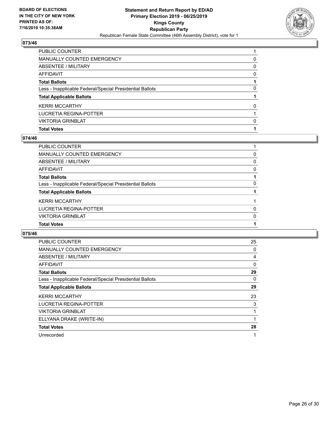

| PUBLIC COUNTER                                           |          |
|----------------------------------------------------------|----------|
| <b>MANUALLY COUNTED EMERGENCY</b>                        | 0        |
| ABSENTEE / MILITARY                                      | $\Omega$ |
| <b>AFFIDAVIT</b>                                         | $\Omega$ |
| <b>Total Ballots</b>                                     |          |
| Less - Inapplicable Federal/Special Presidential Ballots | 0        |
| <b>Total Applicable Ballots</b>                          |          |
| <b>KERRI MCCARTHY</b>                                    | 0        |
| LUCRETIA REGINA-POTTER                                   |          |
| <b>VIKTORIA GRINBLAT</b>                                 | 0        |
| <b>Total Votes</b>                                       |          |

## **074/46**

| PUBLIC COUNTER                                           |          |
|----------------------------------------------------------|----------|
| <b>MANUALLY COUNTED EMERGENCY</b>                        | $\Omega$ |
| <b>ABSENTEE / MILITARY</b>                               | $\Omega$ |
| <b>AFFIDAVIT</b>                                         | $\Omega$ |
| <b>Total Ballots</b>                                     |          |
| Less - Inapplicable Federal/Special Presidential Ballots | 0        |
| <b>Total Applicable Ballots</b>                          |          |
| <b>KERRI MCCARTHY</b>                                    |          |
| <b>LUCRETIA REGINA-POTTER</b>                            | $\Omega$ |
| <b>VIKTORIA GRINBLAT</b>                                 | $\Omega$ |
| <b>Total Votes</b>                                       |          |
|                                                          |          |

| PUBLIC COUNTER                                           | 25 |
|----------------------------------------------------------|----|
| <b>MANUALLY COUNTED EMERGENCY</b>                        | 0  |
| ABSENTEE / MILITARY                                      | 4  |
| AFFIDAVIT                                                | 0  |
| <b>Total Ballots</b>                                     | 29 |
| Less - Inapplicable Federal/Special Presidential Ballots | 0  |
| <b>Total Applicable Ballots</b>                          | 29 |
| <b>KERRI MCCARTHY</b>                                    | 23 |
| LUCRETIA REGINA-POTTER                                   | 3  |
| <b>VIKTORIA GRINBLAT</b>                                 |    |
| ELLYANA DRAKE (WRITE-IN)                                 | 1  |
| <b>Total Votes</b>                                       | 28 |
| Unrecorded                                               | 1  |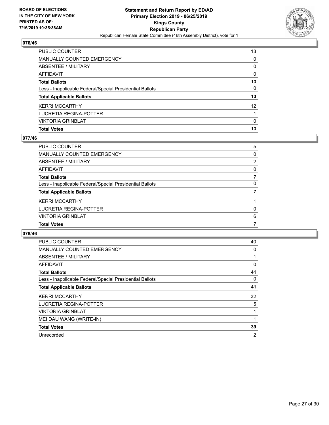

| PUBLIC COUNTER                                           | 13                |
|----------------------------------------------------------|-------------------|
| MANUALLY COUNTED EMERGENCY                               | $\Omega$          |
| ABSENTEE / MILITARY                                      | $\Omega$          |
| <b>AFFIDAVIT</b>                                         | $\Omega$          |
| <b>Total Ballots</b>                                     | 13                |
| Less - Inapplicable Federal/Special Presidential Ballots | $\Omega$          |
| <b>Total Applicable Ballots</b>                          | 13                |
| <b>KERRI MCCARTHY</b>                                    | $12 \overline{ }$ |
| LUCRETIA REGINA-POTTER                                   |                   |
| <b>VIKTORIA GRINBLAT</b>                                 | $\Omega$          |
| <b>Total Votes</b>                                       | 13                |

## **077/46**

| PUBLIC COUNTER                                           | 5        |
|----------------------------------------------------------|----------|
| <b>MANUALLY COUNTED EMERGENCY</b>                        | $\Omega$ |
| <b>ABSENTEE / MILITARY</b>                               | 2        |
| <b>AFFIDAVIT</b>                                         | $\Omega$ |
| <b>Total Ballots</b>                                     | 7        |
| Less - Inapplicable Federal/Special Presidential Ballots | $\Omega$ |
| <b>Total Applicable Ballots</b>                          |          |
| <b>KERRI MCCARTHY</b>                                    |          |
| <b>LUCRETIA REGINA-POTTER</b>                            | 0        |
| <b>VIKTORIA GRINBLAT</b>                                 | 6        |
| <b>Total Votes</b>                                       |          |
|                                                          |          |

| PUBLIC COUNTER                                           | 40             |
|----------------------------------------------------------|----------------|
| <b>MANUALLY COUNTED EMERGENCY</b>                        | 0              |
| ABSENTEE / MILITARY                                      |                |
| AFFIDAVIT                                                | 0              |
| <b>Total Ballots</b>                                     | 41             |
| Less - Inapplicable Federal/Special Presidential Ballots | 0              |
| <b>Total Applicable Ballots</b>                          | 41             |
| <b>KERRI MCCARTHY</b>                                    | 32             |
| LUCRETIA REGINA-POTTER                                   | 5              |
| <b>VIKTORIA GRINBLAT</b>                                 |                |
| MEI DAU WANG (WRITE-IN)                                  | 1              |
| <b>Total Votes</b>                                       | 39             |
| Unrecorded                                               | $\overline{2}$ |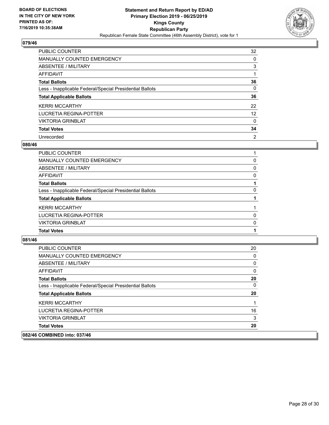

| <b>PUBLIC COUNTER</b>                                    | 32             |
|----------------------------------------------------------|----------------|
| MANUALLY COUNTED EMERGENCY                               | 0              |
| ABSENTEE / MILITARY                                      | 3              |
| AFFIDAVIT                                                |                |
| <b>Total Ballots</b>                                     | 36             |
| Less - Inapplicable Federal/Special Presidential Ballots | 0              |
| <b>Total Applicable Ballots</b>                          | 36             |
| <b>KERRI MCCARTHY</b>                                    | 22             |
| LUCRETIA REGINA-POTTER                                   | 12             |
| <b>VIKTORIA GRINBLAT</b>                                 | 0              |
| <b>Total Votes</b>                                       | 34             |
| Unrecorded                                               | $\overline{2}$ |

#### **080/46**

| PUBLIC COUNTER                                           |          |
|----------------------------------------------------------|----------|
| <b>MANUALLY COUNTED EMERGENCY</b>                        | 0        |
| ABSENTEE / MILITARY                                      | $\Omega$ |
| <b>AFFIDAVIT</b>                                         | 0        |
| <b>Total Ballots</b>                                     |          |
| Less - Inapplicable Federal/Special Presidential Ballots | 0        |
| <b>Total Applicable Ballots</b>                          |          |
| <b>KERRI MCCARTHY</b>                                    |          |
| <b>LUCRETIA REGINA-POTTER</b>                            | 0        |
| <b>VIKTORIA GRINBLAT</b>                                 | $\Omega$ |
| <b>Total Votes</b>                                       |          |
|                                                          |          |

| <b>Total Votes</b>                                       | 20       |
|----------------------------------------------------------|----------|
| <b>VIKTORIA GRINBLAT</b>                                 | 3        |
| LUCRETIA REGINA-POTTER                                   | 16       |
| <b>KERRI MCCARTHY</b>                                    |          |
| <b>Total Applicable Ballots</b>                          | 20       |
| Less - Inapplicable Federal/Special Presidential Ballots | 0        |
| <b>Total Ballots</b>                                     | 20       |
| AFFIDAVIT                                                | $\Omega$ |
| ABSENTEE / MILITARY                                      | 0        |
| <b>MANUALLY COUNTED EMERGENCY</b>                        | 0        |
| PUBLIC COUNTER                                           | 20       |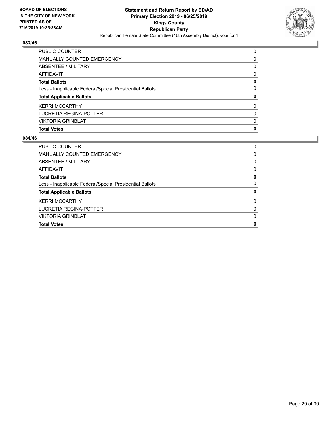

| <b>PUBLIC COUNTER</b>                                    | $\Omega$ |
|----------------------------------------------------------|----------|
| <b>MANUALLY COUNTED EMERGENCY</b>                        | 0        |
| ABSENTEE / MILITARY                                      | $\Omega$ |
| <b>AFFIDAVIT</b>                                         | $\Omega$ |
| <b>Total Ballots</b>                                     | 0        |
| Less - Inapplicable Federal/Special Presidential Ballots | $\Omega$ |
| <b>Total Applicable Ballots</b>                          | 0        |
| <b>KERRI MCCARTHY</b>                                    | $\Omega$ |
| LUCRETIA REGINA-POTTER                                   | $\Omega$ |
| <b>VIKTORIA GRINBLAT</b>                                 | $\Omega$ |
| <b>Total Votes</b>                                       | 0        |

| <b>PUBLIC COUNTER</b>                                    | 0        |
|----------------------------------------------------------|----------|
| <b>MANUALLY COUNTED EMERGENCY</b>                        | 0        |
| ABSENTEE / MILITARY                                      | 0        |
| AFFIDAVIT                                                | 0        |
| <b>Total Ballots</b>                                     | 0        |
| Less - Inapplicable Federal/Special Presidential Ballots | 0        |
| <b>Total Applicable Ballots</b>                          | 0        |
| <b>KERRI MCCARTHY</b>                                    | $\Omega$ |
| LUCRETIA REGINA-POTTER                                   | 0        |
| <b>VIKTORIA GRINBLAT</b>                                 | 0        |
| <b>Total Votes</b>                                       | 0        |
|                                                          |          |